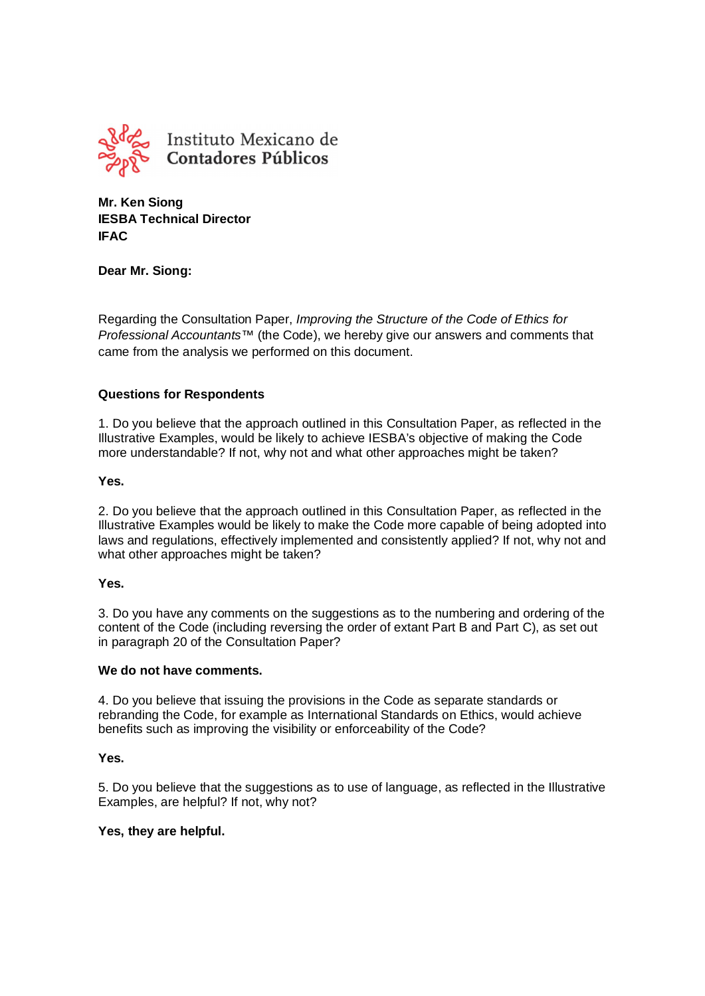

**Mr. Ken Siong IESBA Technical Director IFAC**

# **Dear Mr. Siong:**

Regarding the Consultation Paper, *Improving the Structure of the Code of Ethics for Professional Accountants™* (the Code), we hereby give our answers and comments that came from the analysis we performed on this document.

# **Questions for Respondents**

1. Do you believe that the approach outlined in this Consultation Paper, as reflected in the Illustrative Examples, would be likely to achieve IESBA's objective of making the Code more understandable? If not, why not and what other approaches might be taken?

# **Yes.**

2. Do you believe that the approach outlined in this Consultation Paper, as reflected in the Illustrative Examples would be likely to make the Code more capable of being adopted into laws and regulations, effectively implemented and consistently applied? If not, why not and what other approaches might be taken?

#### **Yes.**

3. Do you have any comments on the suggestions as to the numbering and ordering of the content of the Code (including reversing the order of extant Part B and Part C), as set out in paragraph 20 of the Consultation Paper?

#### **We do not have comments.**

4. Do you believe that issuing the provisions in the Code as separate standards or rebranding the Code, for example as International Standards on Ethics, would achieve benefits such as improving the visibility or enforceability of the Code?

# **Yes.**

5. Do you believe that the suggestions as to use of language, as reflected in the Illustrative Examples, are helpful? If not, why not?

# **Yes, they are helpful.**